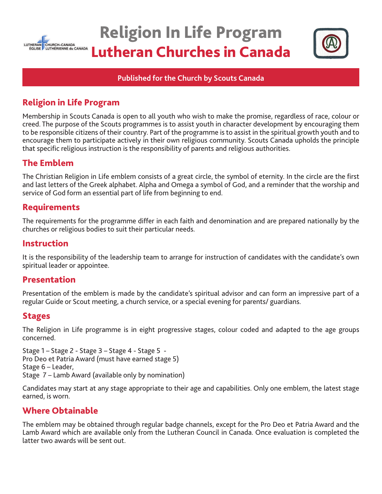

# Religion In Life Program Lutheran Churches in Canada



## **Published for the Church by Scouts Canada**

# Religion in Life Program

Membership in Scouts Canada is open to all youth who wish to make the promise, regardless of race, colour or creed. The purpose of the Scouts programmes is to assist youth in character development by encouraging them to be responsible citizens of their country. Part of the programme is to assist in the spiritual growth youth and to encourage them to participate actively in their own religious community. Scouts Canada upholds the principle that specific religious instruction is the responsibility of parents and religious authorities.

## The Emblem

The Christian Religion in Life emblem consists of a great circle, the symbol of eternity. In the circle are the first and last letters of the Greek alphabet. Alpha and Omega a symbol of God, and a reminder that the worship and service of God form an essential part of life from beginning to end.

## Requirements

The requirements for the programme differ in each faith and denomination and are prepared nationally by the churches or religious bodies to suit their particular needs.

## Instruction

It is the responsibility of the leadership team to arrange for instruction of candidates with the candidate's own spiritual leader or appointee.

## Presentation

Presentation of the emblem is made by the candidate's spiritual advisor and can form an impressive part of a regular Guide or Scout meeting, a church service, or a special evening for parents/ guardians.

## **Stages**

The Religion in Life programme is in eight progressive stages, colour coded and adapted to the age groups concerned.

Stage 1 – Stage 2 - Stage 3 – Stage 4 - Stage 5 - Pro Deo et Patria Award (must have earned stage 5) Stage 6 – Leader, Stage 7 – Lamb Award (available only by nomination)

Candidates may start at any stage appropriate to their age and capabilities. Only one emblem, the latest stage earned, is worn.

## Where Obtainable

The emblem may be obtained through regular badge channels, except for the Pro Deo et Patria Award and the Lamb Award which are available only from the Lutheran Council in Canada. Once evaluation is completed the latter two awards will be sent out.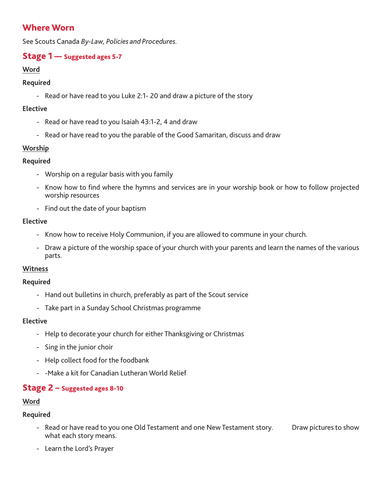# Where Worn

See Scouts Canada *By-Law, Policies and Procedures.*

## **Stage 1** — Suggested ages 5-7

## **Word**

## **Required**

- Read or have read to you Luke 2:1- 20 and draw a picture of the story

## **Elective**

- Read or have read to you Isaiah 43:1-2, 4 and draw
- Read or have read to you the parable of the Good Samaritan, discuss and draw

## **Worship**

## **Required**

- Worship on a regular basis with you family
- Know how to find where the hymns and services are in your worship book or how to follow projected worship resources
- Find out the date of your baptism

## **Elective**

- Know how to receive Holy Communion, if you are allowed to commune in your church.
- Draw a picture of the worship space of your church with your parents and learn the names of the various parts.

## **Witness**

## **Required**

- Hand out bulletins in church, preferably as part of the Scout service
- Take part in a Sunday School Christmas programme

## **Elective**

- Help to decorate your church for either Thanksgiving or Christmas
- Sing in the junior choir
- Help collect food for the foodbank
- -Make a kit for Canadian Lutheran World Relief

## Stage 2 – Suggested ages 8-10

## **Word**

- Read or have read to you one Old Testament and one New Testament story. Draw pictures to show what each story means.
- Learn the Lord's Prayer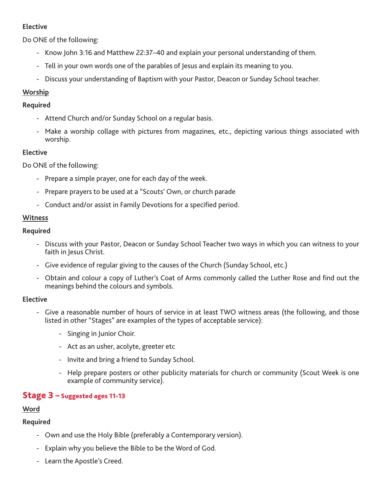Do ONE of the following:

- Know John 3:16 and Matthew 22:37–40 and explain your personal understanding of them.
- Tell in your own words one of the parables of Jesus and explain its meaning to you.
- Discuss your understanding of Baptism with your Pastor, Deacon or Sunday School teacher.

## **Worship**

## **Required**

- Attend Church and/or Sunday School on a regular basis.
- Make a worship collage with pictures from magazines, etc., depicting various things associated with worship.

## **Elective**

Do ONE of the following:

- Prepare a simple prayer, one for each day of the week.
- Prepare prayers to be used at a "Scouts' Own, or church parade
- Conduct and/or assist in Family Devotions for a specified period.

## **Witness**

## **Required**

- Discuss with your Pastor, Deacon or Sunday School Teacher two ways in which you can witness to your faith in Jesus Christ.
- Give evidence of regular giving to the causes of the Church (Sunday School, etc.)
- Obtain and colour a copy of Luther's Coat of Arms commonly called the Luther Rose and find out the meanings behind the colours and symbols.

## **Elective**

- Give a reasonable number of hours of service in at least TWO witness areas (the following, and those listed in other "Stages" are examples of the types of acceptable service):
	- Singing in Junior Choir.
	- Act as an usher, acolyte, greeter etc
	- Invite and bring a friend to Sunday School.
	- Help prepare posters or other publicity materials for church or community (Scout Week is one example of community service).

## Stage 3 – Suggested ages 11-13

## **Word**

- Own and use the Holy Bible (preferably a Contemporary version).
- Explain why you believe the Bible to be the Word of God.
- Learn the Apostle's Creed.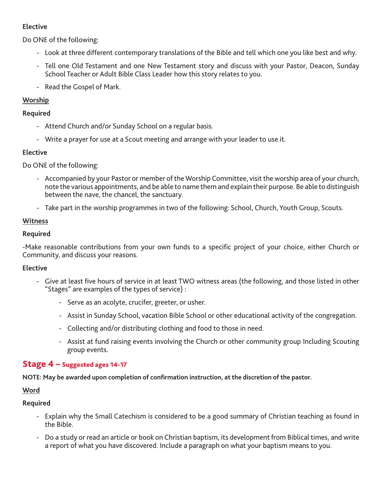Do ONE of the following:

- Look at three different contemporary translations of the Bible and tell which one you like best and why.
- Tell one Old Testament and one New Testament story and discuss with your Pastor, Deacon, Sunday School Teacher or Adult Bible Class Leader how this story relates to you.
- Read the Gospel of Mark.

## **Worship**

## **Required**

- Attend Church and/or Sunday School on a regular basis.
- Write a prayer for use at a Scout meeting and arrange with your leader to use it.

## **Elective**

Do ONE of the following:

- Accompanied by your Pastor or member of the Worship Committee, visit the worship area of your church, note the various appointments, and be able to name them and explain their purpose. Be able to distinguish between the nave, the chancel, the sanctuary.
- Take part in the worship programmes in two of the following: School, Church, Youth Group, Scouts.

## **Witness**

## **Required**

-Make reasonable contributions from your own funds to a specific project of your choice, either Church or Community, and discuss your reasons.

## **Elective**

- Give at least five hours of service in at least TWO witness areas (the following, and those listed in other "Stages" are examples of the types of service) :
	- Serve as an acolyte, crucifer, greeter, or usher.
	- Assist in Sunday School, vacation Bible School or other educational activity of the congregation.
	- Collecting and/or distributing clothing and food to those in need.
	- Assist at fund raising events involving the Church or other community group Including Scouting group events.

## Stage 4 – Suggested ages 14-17

**NOTE: May be awarded upon completion of confirmation instruction, at the discretion of the pastor.**

## **Word**

- Explain why the Small Catechism is considered to be a good summary of Christian teaching as found in the Bible.
- Do a study or read an article or book on Christian baptism, its development from Biblical times, and write a report of what you have discovered. Include a paragraph on what your baptism means to you.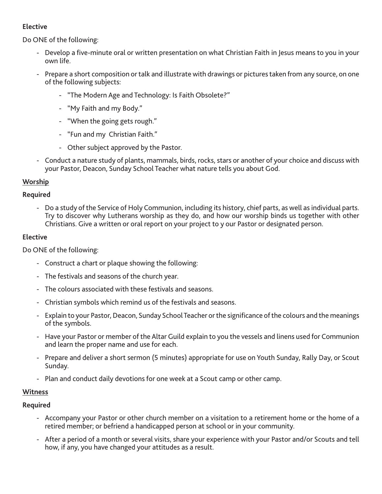Do ONE of the following:

- Develop a five-minute oral or written presentation on what Christian Faith in Jesus means to you in your own life.
- Prepare a short composition or talk and illustrate with drawings or pictures taken from any source, on one of the following subjects:
	- "The Modern Age and Technology: Is Faith Obsolete?"
	- "My Faith and my Body."
	- "When the going gets rough."
	- "Fun and my Christian Faith."
	- Other subject approved by the Pastor.
- Conduct a nature study of plants, mammals, birds, rocks, stars or another of your choice and discuss with your Pastor, Deacon, Sunday School Teacher what nature tells you about God.

## **Worship**

## **Required**

- Do a study of the Service of Holy Communion, including its history, chief parts, as well as individual parts. Try to discover why Lutherans worship as they do, and how our worship binds us together with other Christians. Give a written or oral report on your project to y our Pastor or designated person.

## **Elective**

Do ONE of the following:

- Construct a chart or plaque showing the following:
- The festivals and seasons of the church year.
- The colours associated with these festivals and seasons.
- Christian symbols which remind us of the festivals and seasons.
- Explain to your Pastor, Deacon, Sunday School Teacher or the significance of the colours and the meanings of the symbols.
- Have your Pastor or member of the Altar Guild explain to you the vessels and linens used for Communion and learn the proper name and use for each.
- Prepare and deliver a short sermon (5 minutes) appropriate for use on Youth Sunday, Rally Day, or Scout Sunday.
- Plan and conduct daily devotions for one week at a Scout camp or other camp.

## **Witness**

- Accompany your Pastor or other church member on a visitation to a retirement home or the home of a retired member; or befriend a handicapped person at school or in your community.
- After a period of a month or several visits, share your experience with your Pastor and/or Scouts and tell how, if any, you have changed your attitudes as a result.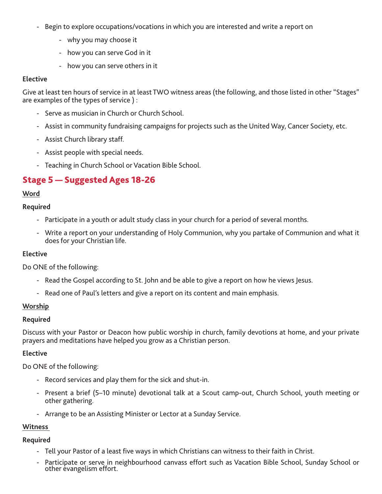- Begin to explore occupations/vocations in which you are interested and write a report on
	- why you may choose it
	- how you can serve God in it
	- how you can serve others in it

Give at least ten hours of service in at least TWO witness areas (the following, and those listed in other "Stages" are examples of the types of service ) :

- Serve as musician in Church or Church School.
- Assist in community fundraising campaigns for projects such as the United Way, Cancer Society, etc.
- Assist Church library staff.
- Assist people with special needs.
- Teaching in Church School or Vacation Bible School.

## Stage 5 — Suggested Ages 18-26

#### **Word**

#### **Required**

- Participate in a youth or adult study class in your church for a period of several months.
- Write a report on your understanding of Holy Communion, why you partake of Communion and what it does for your Christian life.

#### **Elective**

Do ONE of the following:

- Read the Gospel according to St. John and be able to give a report on how he views Jesus.
- Read one of Paul's letters and give a report on its content and main emphasis.

#### **Worship**

#### **Required**

Discuss with your Pastor or Deacon how public worship in church, family devotions at home, and your private prayers and meditations have helped you grow as a Christian person.

#### **Elective**

Do ONE of the following:

- Record services and play them for the sick and shut-in.
- Present a brief (5–10 minute) devotional talk at a Scout camp-out, Church School, youth meeting or other gathering.
- Arrange to be an Assisting Minister or Lector at a Sunday Service.

#### **Witness**

- Tell your Pastor of a least five ways in which Christians can witness to their faith in Christ.
- Participate or serve in neighbourhood canvass effort such as Vacation Bible School, Sunday School or other evangelism effort.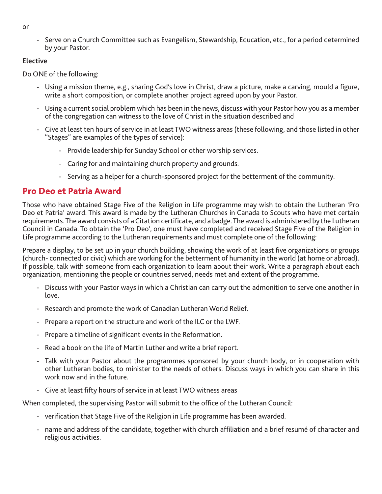- or
- Serve on a Church Committee such as Evangelism, Stewardship, Education, etc., for a period determined by your Pastor.

Do ONE of the following:

- Using a mission theme, e.g., sharing God's love in Christ, draw a picture, make a carving, mould a figure, write a short composition, or complete another project agreed upon by your Pastor.
- Using a current social problem which has been in the news, discuss with your Pastor how you as a member of the congregation can witness to the love of Christ in the situation described and
- Give at least ten hours of service in at least TWO witness areas (these following, and those listed in other "Stages" are examples of the types of service):
	- Provide leadership for Sunday School or other worship services.
	- Caring for and maintaining church property and grounds.
	- Serving as a helper for a church-sponsored project for the betterment of the community.

# Pro Deo et Patria Award

Those who have obtained Stage Five of the Religion in Life programme may wish to obtain the Lutheran 'Pro Deo et Patria' award. This award is made by the Lutheran Churches in Canada to Scouts who have met certain requirements. The award consists of a Citation certificate, and a badge. The award is administered by the Lutheran Council in Canada. To obtain the 'Pro Deo', one must have completed and received Stage Five of the Religion in Life programme according to the Lutheran requirements and must complete one of the following:

Prepare a display, to be set up in your church building, showing the work of at least five organizations or groups (church- connected or civic) which are working for the betterment of humanity in the world (at home or abroad). If possible, talk with someone from each organization to learn about their work. Write a paragraph about each organization, mentioning the people or countries served, needs met and extent of the programme.

- Discuss with your Pastor ways in which a Christian can carry out the admonition to serve one another in love.
- Research and promote the work of Canadian Lutheran World Relief.
- Prepare a report on the structure and work of the ILC or the LWF.
- Prepare a timeline of significant events in the Reformation.
- Read a book on the life of Martin Luther and write a brief report.
- Talk with your Pastor about the programmes sponsored by your church body, or in cooperation with other Lutheran bodies, to minister to the needs of others. Discuss ways in which you can share in this work now and in the future.
- Give at least fifty hours of service in at least TWO witness areas

When completed, the supervising Pastor will submit to the office of the Lutheran Council:

- verification that Stage Five of the Religion in Life programme has been awarded.
- name and address of the candidate, together with church affiliation and a brief resumé of character and religious activities.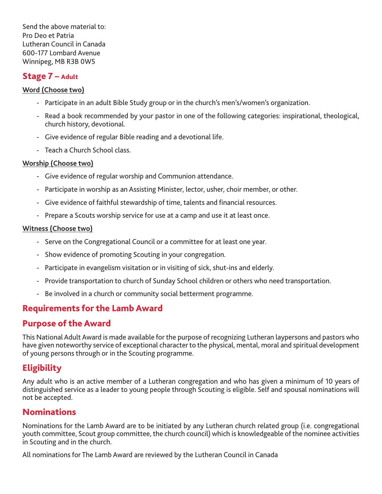Send the above material to: Pro Deo et Patria Lutheran Council in Canada 600-177 Lombard Avenue Winnipeg, MB R3B 0W5

## Stage 7 – Adult

## **Word (Choose two)**

- Participate in an adult Bible Study group or in the church's men's/women's organization.
- Read a book recommended by your pastor in one of the following categories: inspirational, theological, church history, devotional.
- Give evidence of regular Bible reading and a devotional life.
- Teach a Church School class.

## **Worship (Choose two)**

- Give evidence of regular worship and Communion attendance.
- Participate in worship as an Assisting Minister, lector, usher, choir member, or other.
- Give evidence of faithful stewardship of time, talents and financial resources.
- Prepare a Scouts worship service for use at a camp and use it at least once.

## **Witness (Choose two)**

- Serve on the Congregational Council or a committee for at least one year.
- Show evidence of promoting Scouting in your congregation.
- Participate in evangelism visitation or in visiting of sick, shut-ins and elderly.
- Provide transportation to church of Sunday School children or others who need transportation.
- Be involved in a church or community social betterment programme.

# Requirements for the Lamb Award

## Purpose of the Award

This National Adult Award is made available for the purpose of recognizing Lutheran laypersons and pastors who have given noteworthy service of exceptional character to the physical, mental, moral and spiritual development of young persons through or in the Scouting programme.

# **Eligibility**

Any adult who is an active member of a Lutheran congregation and who has given a minimum of 10 years of distinguished service as a leader to young people through Scouting is eligible. Self and spousal nominations will not be accepted.

## **Nominations**

Nominations for the Lamb Award are to be initiated by any Lutheran church related group (i.e. congregational youth committee, Scout group committee, the church council) which is knowledgeable of the nominee activities in Scouting and in the church.

All nominations for The Lamb Award are reviewed by the Lutheran Council in Canada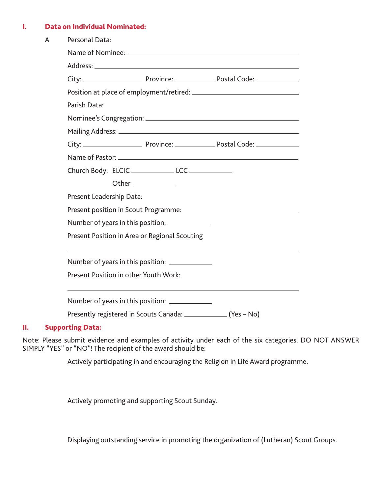#### I. Data on Individual Nominated:

| Personal Data:           |  |                                                                                                                                                                                                                                                                                                                                                                                                                                        |  |
|--------------------------|--|----------------------------------------------------------------------------------------------------------------------------------------------------------------------------------------------------------------------------------------------------------------------------------------------------------------------------------------------------------------------------------------------------------------------------------------|--|
|                          |  |                                                                                                                                                                                                                                                                                                                                                                                                                                        |  |
|                          |  |                                                                                                                                                                                                                                                                                                                                                                                                                                        |  |
|                          |  |                                                                                                                                                                                                                                                                                                                                                                                                                                        |  |
|                          |  |                                                                                                                                                                                                                                                                                                                                                                                                                                        |  |
| Parish Data:             |  |                                                                                                                                                                                                                                                                                                                                                                                                                                        |  |
|                          |  |                                                                                                                                                                                                                                                                                                                                                                                                                                        |  |
|                          |  |                                                                                                                                                                                                                                                                                                                                                                                                                                        |  |
|                          |  |                                                                                                                                                                                                                                                                                                                                                                                                                                        |  |
|                          |  |                                                                                                                                                                                                                                                                                                                                                                                                                                        |  |
|                          |  |                                                                                                                                                                                                                                                                                                                                                                                                                                        |  |
|                          |  |                                                                                                                                                                                                                                                                                                                                                                                                                                        |  |
| Present Leadership Data: |  |                                                                                                                                                                                                                                                                                                                                                                                                                                        |  |
|                          |  |                                                                                                                                                                                                                                                                                                                                                                                                                                        |  |
|                          |  |                                                                                                                                                                                                                                                                                                                                                                                                                                        |  |
|                          |  |                                                                                                                                                                                                                                                                                                                                                                                                                                        |  |
|                          |  |                                                                                                                                                                                                                                                                                                                                                                                                                                        |  |
|                          |  |                                                                                                                                                                                                                                                                                                                                                                                                                                        |  |
|                          |  |                                                                                                                                                                                                                                                                                                                                                                                                                                        |  |
|                          |  |                                                                                                                                                                                                                                                                                                                                                                                                                                        |  |
|                          |  | Name of Pastor: Name of Pastor:<br>Church Body: ELCIC _______________ LCC ____________<br>Other _____________<br>Number of years in this position: ______________<br>Present Position in Area or Regional Scouting<br>Number of years in this position: _____________<br>Present Position in other Youth Work:<br>Number of years in this position: _____________<br>Presently registered in Scouts Canada: _______________ (Yes - No) |  |

## II. Supporting Data:

Note: Please submit evidence and examples of activity under each of the six categories. DO NOT ANSWER SIMPLY "YES" or "NO"! The recipient of the award should be:

Actively participating in and encouraging the Religion in Life Award programme.

Actively promoting and supporting Scout Sunday.

Displaying outstanding service in promoting the organization of (Lutheran) Scout Groups.